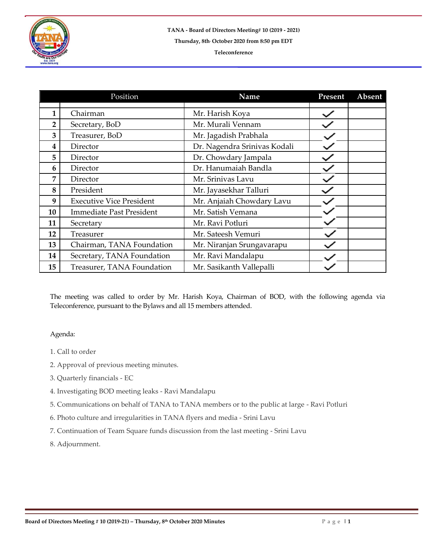

## **Teleconference**

|    | Position                        | Name                         | Present | Absent |
|----|---------------------------------|------------------------------|---------|--------|
|    |                                 |                              |         |        |
| 1  | Chairman                        | Mr. Harish Koya              |         |        |
| 2  | Secretary, BoD                  | Mr. Murali Vennam            |         |        |
| 3  | Treasurer, BoD                  | Mr. Jagadish Prabhala        |         |        |
| 4  | Director                        | Dr. Nagendra Srinivas Kodali |         |        |
| 5  | Director                        | Dr. Chowdary Jampala         |         |        |
| 6  | Director                        | Dr. Hanumaiah Bandla         |         |        |
| 7  | Director                        | Mr. Srinivas Lavu            |         |        |
| 8  | President                       | Mr. Jayasekhar Talluri       |         |        |
| 9  | <b>Executive Vice President</b> | Mr. Anjaiah Chowdary Lavu    |         |        |
| 10 | <b>Immediate Past President</b> | Mr. Satish Vemana            |         |        |
| 11 | Secretary                       | Mr. Ravi Potluri             |         |        |
| 12 | Treasurer                       | Mr. Sateesh Vemuri           |         |        |
| 13 | Chairman, TANA Foundation       | Mr. Niranjan Srungavarapu    |         |        |
| 14 | Secretary, TANA Foundation      | Mr. Ravi Mandalapu           |         |        |
| 15 | Treasurer, TANA Foundation      | Mr. Sasikanth Vallepalli     |         |        |

The meeting was called to order by Mr. Harish Koya, Chairman of BOD, with the following agenda via Teleconference, pursuant to the Bylaws and all 15 members attended.

## Agenda:

- 1. Call to order
- 2. Approval of previous meeting minutes.
- 3. Quarterly financials EC
- 4. Investigating BOD meeting leaks Ravi Mandalapu
- 5. Communications on behalf of TANA to TANA members or to the public at large Ravi Potluri
- 6. Photo culture and irregularities in TANA flyers and media Srini Lavu
- 7. Continuation of Team Square funds discussion from the last meeting Srini Lavu
- 8. Adjournment.